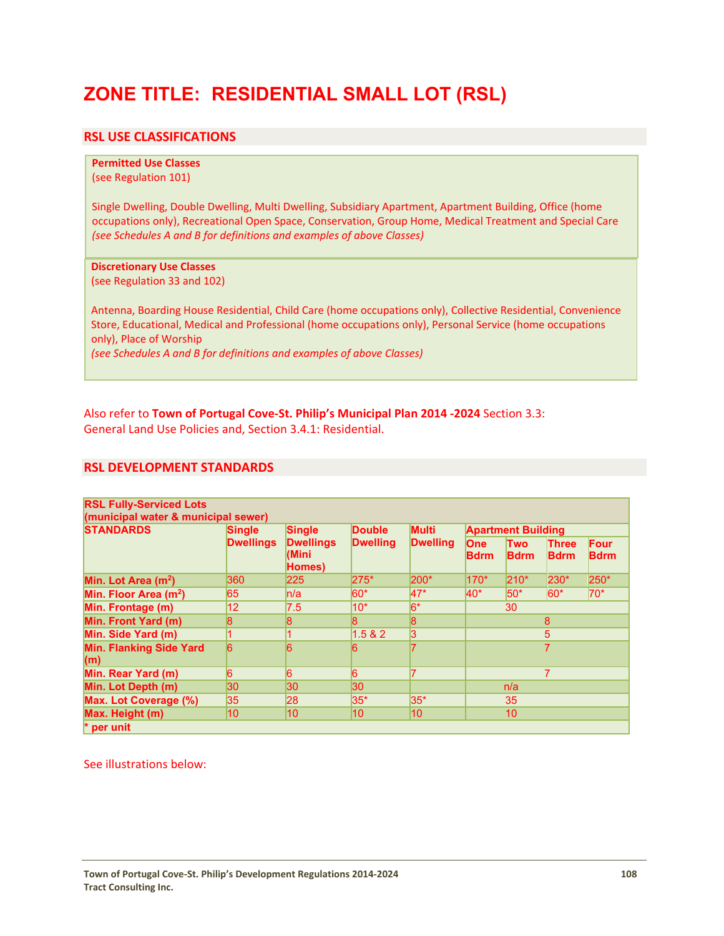# **ZONE TITLE: RESIDENTIAL SMALL LOT (RSL)**

# **RSL USE CLASSIFICATIONS**

# **Permitted Use Classes**

(see Regulation 101)

Single Dwelling, Double Dwelling, Multi Dwelling, Subsidiary Apartment, Apartment Building, Office (home occupations only), Recreational Open Space, Conservation, Group Home, Medical Treatment and Special Care *(see Schedules A and B for definitions and examples of above Classes)*

### **Discretionary Use Classes**

(see Regulation 33 and 102)

Antenna, Boarding House Residential, Child Care (home occupations only), Collective Residential, Convenience Store, Educational, Medical and Professional (home occupations only), Personal Service (home occupations only), Place of Worship

*(see Schedules A and B for definitions and examples of above Classes)*

Also refer to **Town of Portugal Cove‐St. Philip's Municipal Plan 2014 ‐2024** Section 3.3: General Land Use Policies and, Section 3.4.1: Residential.

# **RSL DEVELOPMENT STANDARDS**

| <b>STANDARDS</b>                      | <b>Single</b><br><b>Dwellings</b> | <b>Single</b><br><b>Dwellings</b><br>(Mini<br>Homes) | <b>Double</b><br><b>Dwelling</b> | <b>Multi</b><br><b>Dwelling</b> | <b>Apartment Building</b> |                           |                             |                     |
|---------------------------------------|-----------------------------------|------------------------------------------------------|----------------------------------|---------------------------------|---------------------------|---------------------------|-----------------------------|---------------------|
|                                       |                                   |                                                      |                                  |                                 | <b>One</b><br><b>Bdrm</b> | <b>Two</b><br><b>Bdrm</b> | <b>Three</b><br><b>Bdrm</b> | Four<br><b>Bdrm</b> |
| Min. Lot Area (m <sup>2</sup> )       | 360                               | 225                                                  | 275*                             | 200*                            | 170*                      | $210*$                    | 230*                        | 250*                |
| Min. Floor Area (m <sup>2</sup> )     | 65                                | ln/a                                                 | $60*$                            | 47*                             | $40*$                     | $50*$                     | $60*$                       | $70*$               |
| Min. Frontage (m)                     | 12                                | 7.5                                                  | $10*$                            | $6*$                            | 30                        |                           |                             |                     |
| Min. Front Yard (m)                   | 8                                 | $\boldsymbol{8}$                                     | 8                                | 8                               | 8                         |                           |                             |                     |
| Min. Side Yard (m)                    |                                   |                                                      | 1.5 & 2                          | 3                               | 5                         |                           |                             |                     |
| <b>Min. Flanking Side Yard</b><br>(m) | 6                                 | $6\overline{6}$                                      | 6                                |                                 | $\overline{7}$            |                           |                             |                     |
| Min. Rear Yard (m)                    | 6                                 | 6                                                    | 6                                |                                 | 7                         |                           |                             |                     |
| Min. Lot Depth (m)                    | 30                                | 30                                                   | 30                               |                                 | n/a                       |                           |                             |                     |
| Max. Lot Coverage (%)                 | 35                                | 28                                                   | $35*$                            | 35*                             | 35                        |                           |                             |                     |
| Max. Height (m)                       | 10                                | 10                                                   | 10                               | 10                              | 10                        |                           |                             |                     |

See illustrations below: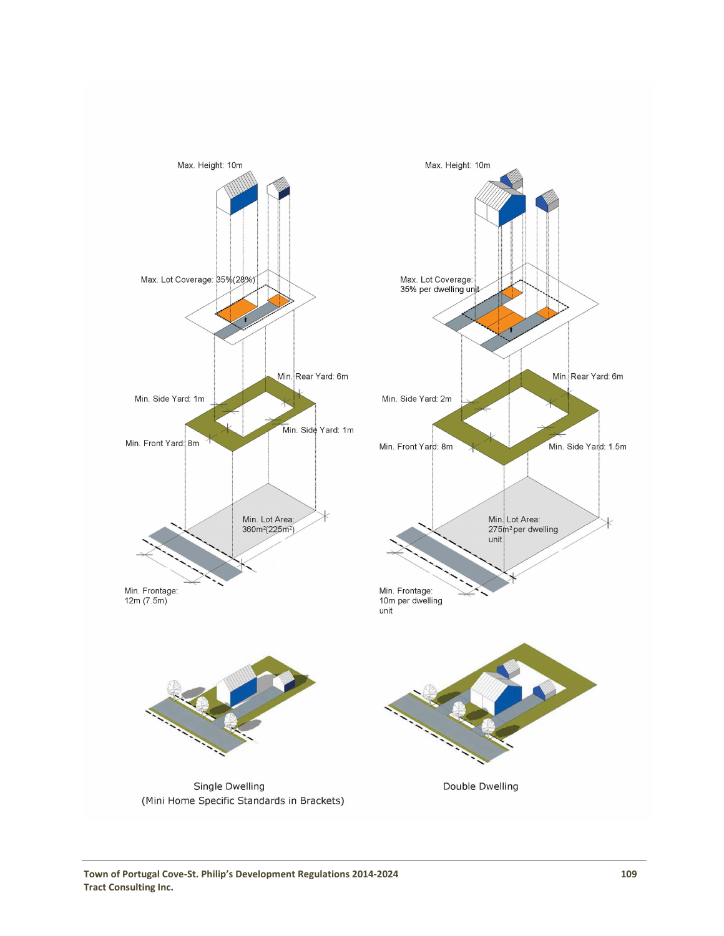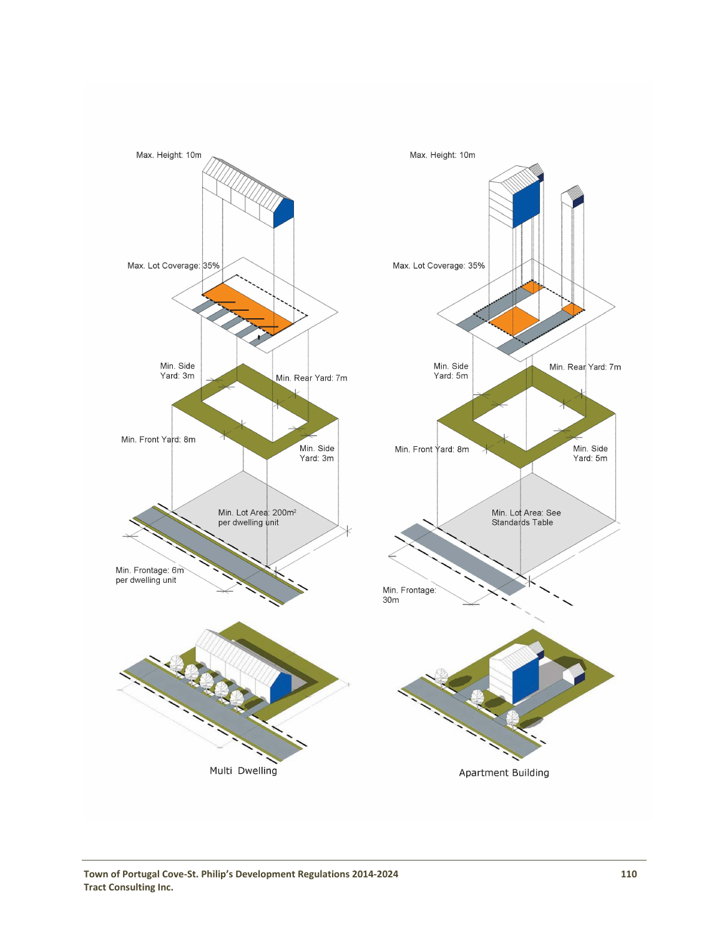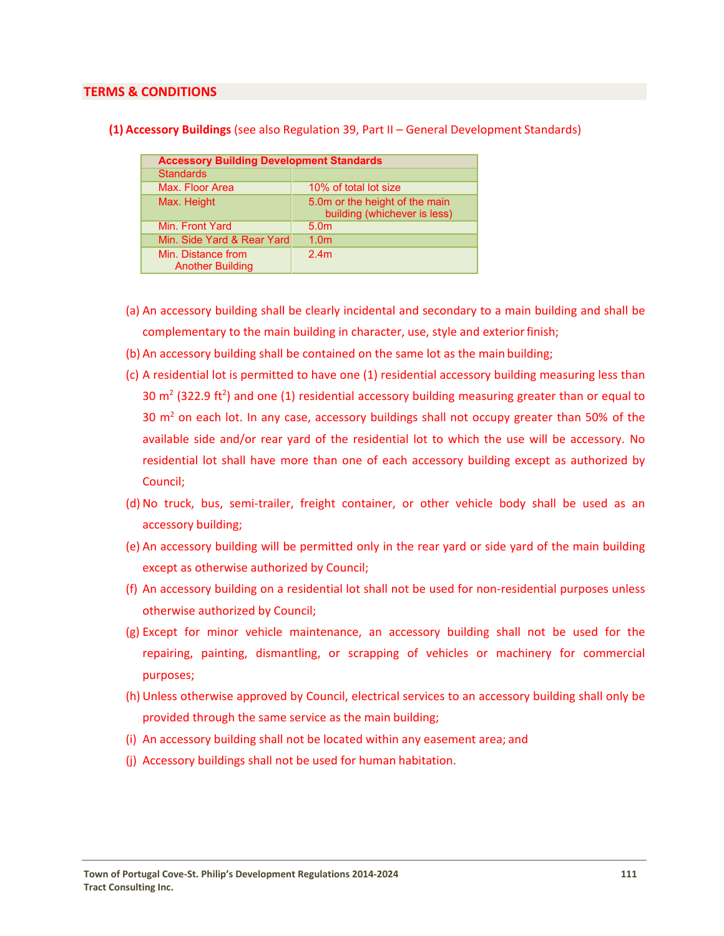### **TERMS & CONDITIONS**

| <b>Accessory Building Development Standards</b> |                                                                |  |  |  |
|-------------------------------------------------|----------------------------------------------------------------|--|--|--|
| <b>Standards</b>                                |                                                                |  |  |  |
| Max. Floor Area                                 | 10% of total lot size                                          |  |  |  |
| Max. Height                                     | 5.0m or the height of the main<br>building (whichever is less) |  |  |  |
| Min. Front Yard                                 | 5.0 <sub>m</sub>                                               |  |  |  |
| Min. Side Yard & Rear Yard                      | 1.0 <sub>m</sub>                                               |  |  |  |
| Min. Distance from<br><b>Another Building</b>   | 2.4m                                                           |  |  |  |

### **(1) Accessory Buildings** (see also Regulation 39, Part II – General Development Standards)

- (a) An accessory building shall be clearly incidental and secondary to a main building and shall be complementary to the main building in character, use, style and exterior finish;
- (b) An accessory building shall be contained on the same lot as the main building;
- (c) A residential lot is permitted to have one (1) residential accessory building measuring less than 30  $\text{m}^2$  (322.9 ft<sup>2</sup>) and one (1) residential accessory building measuring greater than or equal to 30  $m<sup>2</sup>$  on each lot. In any case, accessory buildings shall not occupy greater than 50% of the available side and/or rear yard of the residential lot to which the use will be accessory. No residential lot shall have more than one of each accessory building except as authorized by Council;
- (d) No truck, bus, semi‐trailer, freight container, or other vehicle body shall be used as an accessory building;
- (e) An accessory building will be permitted only in the rear yard or side yard of the main building except as otherwise authorized by Council;
- (f) An accessory building on a residential lot shall not be used for non‐residential purposes unless otherwise authorized by Council;
- (g) Except for minor vehicle maintenance, an accessory building shall not be used for the repairing, painting, dismantling, or scrapping of vehicles or machinery for commercial purposes;
- (h) Unless otherwise approved by Council, electrical services to an accessory building shall only be provided through the same service as the main building;
- (i) An accessory building shall not be located within any easement area; and
- (j) Accessory buildings shall not be used for human habitation.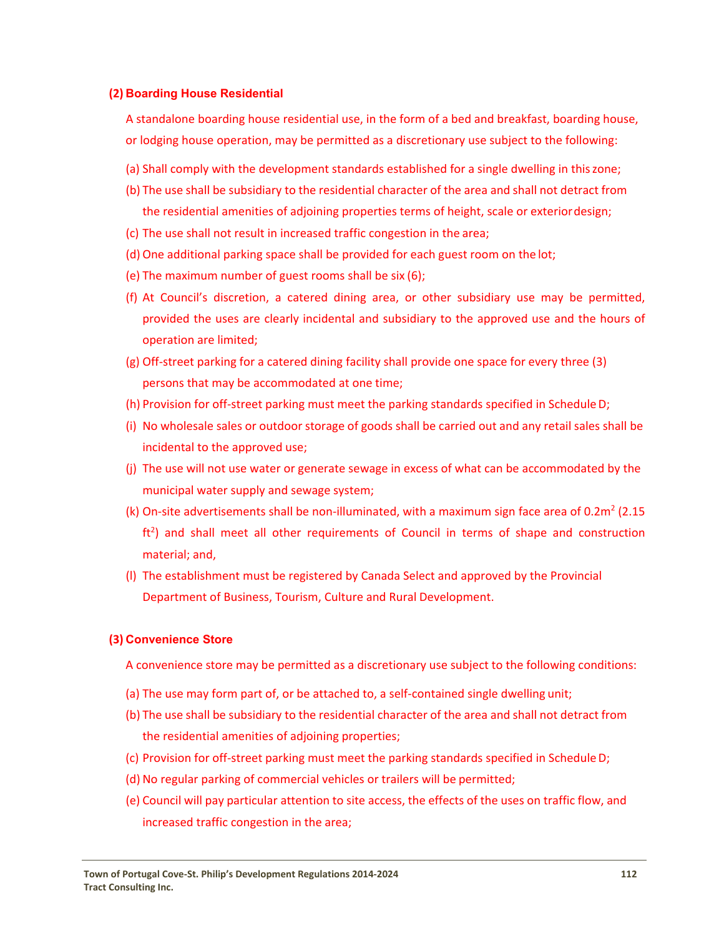### **(2) Boarding House Residential**

A standalone boarding house residential use, in the form of a bed and breakfast, boarding house, or lodging house operation, may be permitted as a discretionary use subject to the following:

- (a) Shall comply with the development standards established for a single dwelling in thiszone;
- (b) The use shall be subsidiary to the residential character of the area and shall not detract from the residential amenities of adjoining properties terms of height, scale or exteriordesign;
- (c) The use shall not result in increased traffic congestion in the area;
- (d) One additional parking space shall be provided for each guest room on the lot;
- (e) The maximum number of guest rooms shall be six (6);
- (f) At Council's discretion, a catered dining area, or other subsidiary use may be permitted, provided the uses are clearly incidental and subsidiary to the approved use and the hours of operation are limited;
- (g) Off‐street parking for a catered dining facility shall provide one space for every three (3) persons that may be accommodated at one time;
- (h) Provision for off‐street parking must meet the parking standards specified in ScheduleD;
- (i) No wholesale sales or outdoor storage of goods shall be carried out and any retail sales shall be incidental to the approved use;
- (j) The use will not use water or generate sewage in excess of what can be accommodated by the municipal water supply and sewage system;
- (k) On-site advertisements shall be non-illuminated, with a maximum sign face area of 0.2m<sup>2</sup> (2.15)  $ft<sup>2</sup>$ ) and shall meet all other requirements of Council in terms of shape and construction material; and,
- (l) The establishment must be registered by Canada Select and approved by the Provincial Department of Business, Tourism, Culture and Rural Development.

#### **(3) Convenience Store**

A convenience store may be permitted as a discretionary use subject to the following conditions:

- (a) The use may form part of, or be attached to, a self-contained single dwelling unit;
- (b) The use shall be subsidiary to the residential character of the area and shall not detract from the residential amenities of adjoining properties;
- (c) Provision for off‐street parking must meet the parking standards specified in ScheduleD;
- (d) No regular parking of commercial vehicles or trailers will be permitted;
- (e) Council will pay particular attention to site access, the effects of the uses on traffic flow, and increased traffic congestion in the area;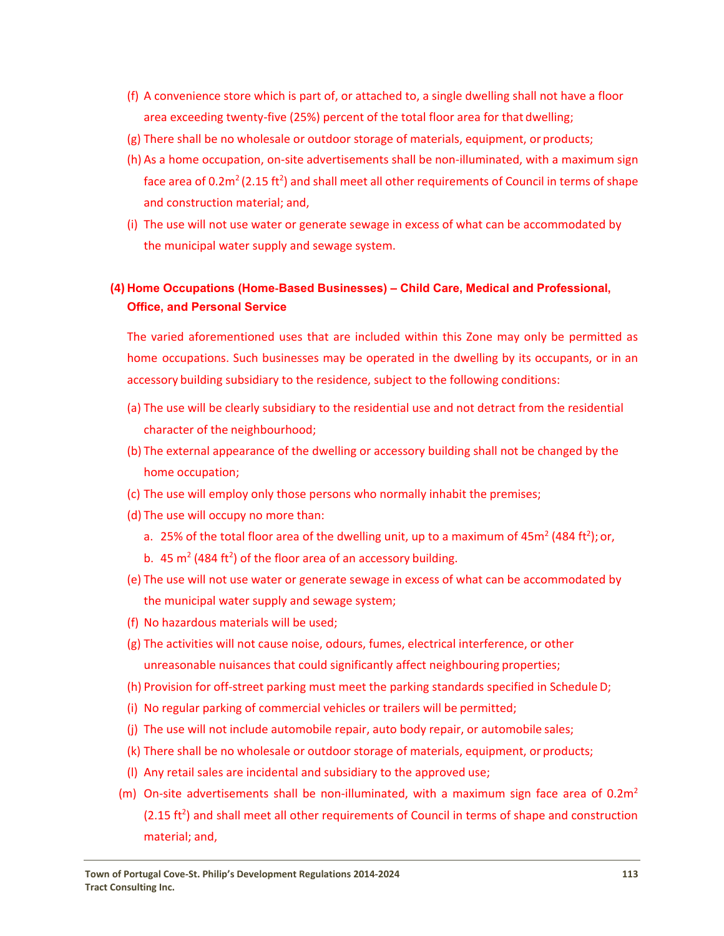- (f) A convenience store which is part of, or attached to, a single dwelling shall not have a floor area exceeding twenty-five (25%) percent of the total floor area for that dwelling;
- (g) There shall be no wholesale or outdoor storage of materials, equipment, or products;
- (h) As a home occupation, on‐site advertisements shall be non‐illuminated, with a maximum sign face area of 0.2m<sup>2</sup> (2.15 ft<sup>2</sup>) and shall meet all other requirements of Council in terms of shape and construction material; and,
- (i) The use will not use water or generate sewage in excess of what can be accommodated by the municipal water supply and sewage system.

# **(4) Home Occupations (Home**-**Based Businesses) – Child Care, Medical and Professional, Office, and Personal Service**

The varied aforementioned uses that are included within this Zone may only be permitted as home occupations. Such businesses may be operated in the dwelling by its occupants, or in an accessory building subsidiary to the residence, subject to the following conditions:

- (a) The use will be clearly subsidiary to the residential use and not detract from the residential character of the neighbourhood;
- (b) The external appearance of the dwelling or accessory building shall not be changed by the home occupation;
- (c) The use will employ only those persons who normally inhabit the premises;
- (d) The use will occupy no more than:
	- a. 25% of the total floor area of the dwelling unit, up to a maximum of 45m<sup>2</sup> (484 ft<sup>2</sup>); or,
	- b.  $45 \text{ m}^2$  (484 ft<sup>2</sup>) of the floor area of an accessory building.
- (e) The use will not use water or generate sewage in excess of what can be accommodated by the municipal water supply and sewage system;
- (f) No hazardous materials will be used;
- (g) The activities will not cause noise, odours, fumes, electrical interference, or other unreasonable nuisances that could significantly affect neighbouring properties;
- (h) Provision for off‐street parking must meet the parking standards specified in ScheduleD;
- (i) No regular parking of commercial vehicles or trailers will be permitted;
- (j) The use will not include automobile repair, auto body repair, or automobile sales;
- (k) There shall be no wholesale or outdoor storage of materials, equipment, or products;
- (l) Any retail sales are incidental and subsidiary to the approved use;
- (m) On-site advertisements shall be non-illuminated, with a maximum sign face area of  $0.2m<sup>2</sup>$  $(2.15 ft<sup>2</sup>)$  and shall meet all other requirements of Council in terms of shape and construction material; and,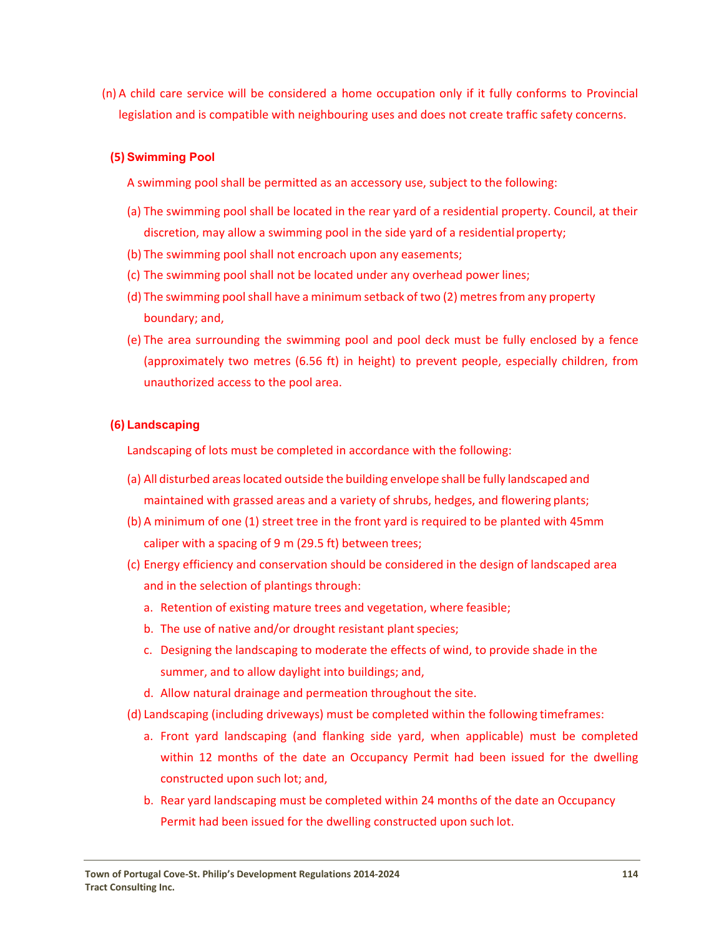(n) A child care service will be considered a home occupation only if it fully conforms to Provincial legislation and is compatible with neighbouring uses and does not create traffic safety concerns.

# **(5) Swimming Pool**

A swimming pool shall be permitted as an accessory use, subject to the following:

- (a) The swimming pool shall be located in the rear yard of a residential property. Council, at their discretion, may allow a swimming pool in the side yard of a residential property;
- (b) The swimming pool shall not encroach upon any easements;
- (c) The swimming pool shall not be located under any overhead power lines;
- (d) The swimming pool shall have a minimum setback of two (2) metres from any property boundary; and,
- (e) The area surrounding the swimming pool and pool deck must be fully enclosed by a fence (approximately two metres (6.56 ft) in height) to prevent people, especially children, from unauthorized access to the pool area.

# **(6) Landscaping**

Landscaping of lots must be completed in accordance with the following:

- (a) All disturbed areaslocated outside the building envelope shall be fully landscaped and maintained with grassed areas and a variety of shrubs, hedges, and flowering plants;
- (b) A minimum of one (1) street tree in the front yard is required to be planted with 45mm caliper with a spacing of 9 m (29.5 ft) between trees;
- (c) Energy efficiency and conservation should be considered in the design of landscaped area and in the selection of plantings through:
	- a. Retention of existing mature trees and vegetation, where feasible;
	- b. The use of native and/or drought resistant plant species;
	- c. Designing the landscaping to moderate the effects of wind, to provide shade in the summer, and to allow daylight into buildings; and,
	- d. Allow natural drainage and permeation throughout the site.
- (d) Landscaping (including driveways) must be completed within the following timeframes:
	- a. Front yard landscaping (and flanking side yard, when applicable) must be completed within 12 months of the date an Occupancy Permit had been issued for the dwelling constructed upon such lot; and,
	- b. Rear yard landscaping must be completed within 24 months of the date an Occupancy Permit had been issued for the dwelling constructed upon such lot.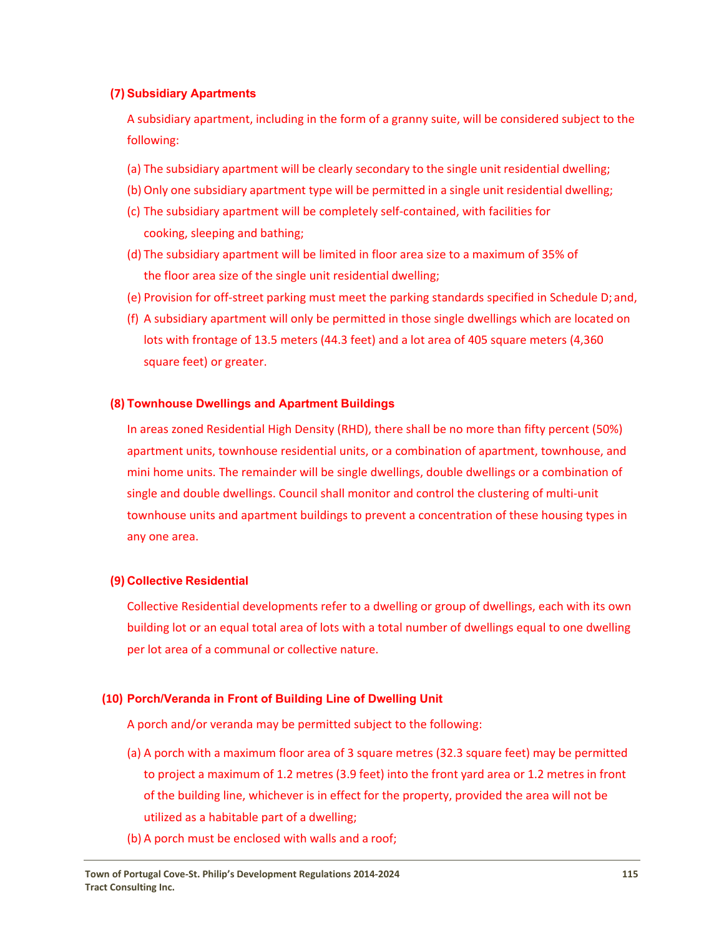## **(7) Subsidiary Apartments**

A subsidiary apartment, including in the form of a granny suite, will be considered subject to the following:

- (a) The subsidiary apartment will be clearly secondary to the single unit residential dwelling;
- (b) Only one subsidiary apartment type will be permitted in a single unit residential dwelling;
- (c) The subsidiary apartment will be completely self‐contained, with facilities for cooking, sleeping and bathing;
- (d) The subsidiary apartment will be limited in floor area size to a maximum of 35% of the floor area size of the single unit residential dwelling;
- (e) Provision for off‐street parking must meet the parking standards specified in Schedule D; and,
- (f) A subsidiary apartment will only be permitted in those single dwellings which are located on lots with frontage of 13.5 meters (44.3 feet) and a lot area of 405 square meters (4,360 square feet) or greater.

### **(8) Townhouse Dwellings and Apartment Buildings**

In areas zoned Residential High Density (RHD), there shall be no more than fifty percent (50%) apartment units, townhouse residential units, or a combination of apartment, townhouse, and mini home units. The remainder will be single dwellings, double dwellings or a combination of single and double dwellings. Council shall monitor and control the clustering of multi-unit townhouse units and apartment buildings to prevent a concentration of these housing types in any one area.

### **(9) Collective Residential**

Collective Residential developments refer to a dwelling or group of dwellings, each with its own building lot or an equal total area of lots with a total number of dwellings equal to one dwelling per lot area of a communal or collective nature.

## **(10) Porch/Veranda in Front of Building Line of Dwelling Unit**

A porch and/or veranda may be permitted subject to the following:

- (a) A porch with a maximum floor area of 3 square metres (32.3 square feet) may be permitted to project a maximum of 1.2 metres (3.9 feet) into the front yard area or 1.2 metres in front of the building line, whichever is in effect for the property, provided the area will not be utilized as a habitable part of a dwelling;
- (b) A porch must be enclosed with walls and a roof;